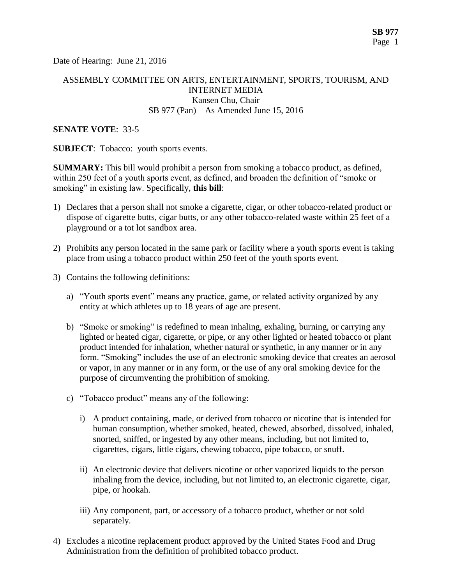Date of Hearing: June 21, 2016

### ASSEMBLY COMMITTEE ON ARTS, ENTERTAINMENT, SPORTS, TOURISM, AND INTERNET MEDIA Kansen Chu, Chair SB 977 (Pan) – As Amended June 15, 2016

#### **SENATE VOTE**: 33-5

**SUBJECT**: Tobacco: youth sports events.

**SUMMARY:** This bill would prohibit a person from smoking a tobacco product, as defined, within 250 feet of a youth sports event, as defined, and broaden the definition of "smoke or smoking" in existing law. Specifically, **this bill**:

- 1) Declares that a person shall not smoke a cigarette, cigar, or other tobacco-related product or dispose of cigarette butts, cigar butts, or any other tobacco-related waste within 25 feet of a playground or a tot lot sandbox area.
- 2) Prohibits any person located in the same park or facility where a youth sports event is taking place from using a tobacco product within 250 feet of the youth sports event.
- 3) Contains the following definitions:
	- a) "Youth sports event" means any practice, game, or related activity organized by any entity at which athletes up to 18 years of age are present.
	- b) "Smoke or smoking" is redefined to mean inhaling, exhaling, burning, or carrying any lighted or heated cigar, cigarette, or pipe, or any other lighted or heated tobacco or plant product intended for inhalation, whether natural or synthetic, in any manner or in any form. "Smoking" includes the use of an electronic smoking device that creates an aerosol or vapor, in any manner or in any form, or the use of any oral smoking device for the purpose of circumventing the prohibition of smoking.
	- c) "Tobacco product" means any of the following:
		- i) A product containing, made, or derived from tobacco or nicotine that is intended for human consumption, whether smoked, heated, chewed, absorbed, dissolved, inhaled, snorted, sniffed, or ingested by any other means, including, but not limited to, cigarettes, cigars, little cigars, chewing tobacco, pipe tobacco, or snuff.
		- ii) An electronic device that delivers nicotine or other vaporized liquids to the person inhaling from the device, including, but not limited to, an electronic cigarette, cigar, pipe, or hookah.
		- iii) Any component, part, or accessory of a tobacco product, whether or not sold separately.
- 4) Excludes a nicotine replacement product approved by the United States Food and Drug Administration from the definition of prohibited tobacco product.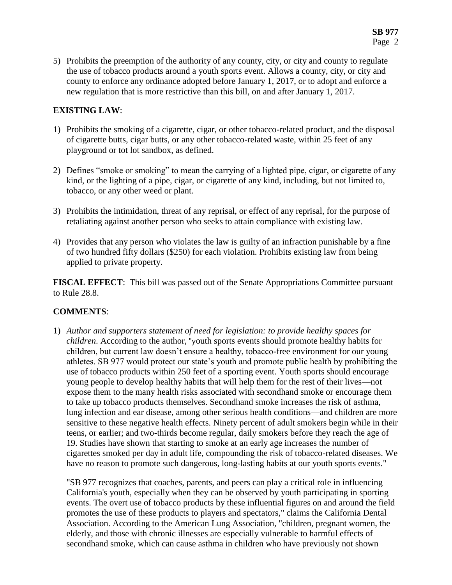5) Prohibits the preemption of the authority of any county, city, or city and county to regulate the use of tobacco products around a youth sports event. Allows a county, city, or city and county to enforce any ordinance adopted before January 1, 2017, or to adopt and enforce a new regulation that is more restrictive than this bill, on and after January 1, 2017.

#### **EXISTING LAW**:

- 1) Prohibits the smoking of a cigarette, cigar, or other tobacco-related product, and the disposal of cigarette butts, cigar butts, or any other tobacco-related waste, within 25 feet of any playground or tot lot sandbox, as defined.
- 2) Defines "smoke or smoking" to mean the carrying of a lighted pipe, cigar, or cigarette of any kind, or the lighting of a pipe, cigar, or cigarette of any kind, including, but not limited to, tobacco, or any other weed or plant.
- 3) Prohibits the intimidation, threat of any reprisal, or effect of any reprisal, for the purpose of retaliating against another person who seeks to attain compliance with existing law.
- 4) Provides that any person who violates the law is guilty of an infraction punishable by a fine of two hundred fifty dollars (\$250) for each violation. Prohibits existing law from being applied to private property.

**FISCAL EFFECT**: This bill was passed out of the Senate Appropriations Committee pursuant to Rule 28.8.

# **COMMENTS**:

1) *Author and supporters statement of need for legislation: to provide healthy spaces for children*. According to the author, "youth sports events should promote healthy habits for children, but current law doesn't ensure a healthy, tobacco-free environment for our young athletes. SB 977 would protect our state's youth and promote public health by prohibiting the use of tobacco products within 250 feet of a sporting event. Youth sports should encourage young people to develop healthy habits that will help them for the rest of their lives—not expose them to the many health risks associated with secondhand smoke or encourage them to take up tobacco products themselves. Secondhand smoke increases the risk of asthma, lung infection and ear disease, among other serious health conditions—and children are more sensitive to these negative health effects. Ninety percent of adult smokers begin while in their teens, or earlier; and two-thirds become regular, daily smokers before they reach the age of 19. Studies have shown that starting to smoke at an early age increases the number of cigarettes smoked per day in adult life, compounding the risk of tobacco-related diseases. We have no reason to promote such dangerous, long-lasting habits at our youth sports events."

"SB 977 recognizes that coaches, parents, and peers can play a critical role in influencing California's youth, especially when they can be observed by youth participating in sporting events. The overt use of tobacco products by these influential figures on and around the field promotes the use of these products to players and spectators," claims the California Dental Association. According to the American Lung Association, "children, pregnant women, the elderly, and those with chronic illnesses are especially vulnerable to harmful effects of secondhand smoke, which can cause asthma in children who have previously not shown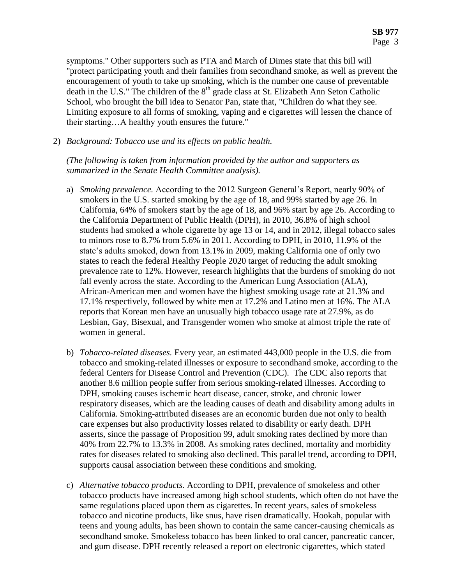symptoms." Other supporters such as PTA and March of Dimes state that this bill will "protect participating youth and their families from secondhand smoke, as well as prevent the encouragement of youth to take up smoking, which is the number one cause of preventable death in the U.S." The children of the  $8<sup>th</sup>$  grade class at St. Elizabeth Ann Seton Catholic School, who brought the bill idea to Senator Pan, state that, "Children do what they see. Limiting exposure to all forms of smoking, vaping and e cigarettes will lessen the chance of their starting…A healthy youth ensures the future."

2) *Background: Tobacco use and its effects on public health.* 

*(The following is taken from information provided by the author and supporters as summarized in the Senate Health Committee analysis).*

- a) *Smoking prevalence.* According to the 2012 Surgeon General's Report, nearly 90% of smokers in the U.S. started smoking by the age of 18, and 99% started by age 26. In California, 64% of smokers start by the age of 18, and 96% start by age 26. According to the California Department of Public Health (DPH), in 2010, 36.8% of high school students had smoked a whole cigarette by age 13 or 14, and in 2012, illegal tobacco sales to minors rose to 8.7% from 5.6% in 2011. According to DPH, in 2010, 11.9% of the state's adults smoked, down from 13.1% in 2009, making California one of only two states to reach the federal Healthy People 2020 target of reducing the adult smoking prevalence rate to 12%. However, research highlights that the burdens of smoking do not fall evenly across the state. According to the American Lung Association (ALA), African-American men and women have the highest smoking usage rate at 21.3% and 17.1% respectively, followed by white men at 17.2% and Latino men at 16%. The ALA reports that Korean men have an unusually high tobacco usage rate at 27.9%, as do Lesbian, Gay, Bisexual, and Transgender women who smoke at almost triple the rate of women in general.
- b) *Tobacco-related diseases.* Every year, an estimated 443,000 people in the U.S. die from tobacco and smoking-related illnesses or exposure to secondhand smoke, according to the federal Centers for Disease Control and Prevention (CDC). The CDC also reports that another 8.6 million people suffer from serious smoking-related illnesses. According to DPH, smoking causes ischemic heart disease, cancer, stroke, and chronic lower respiratory diseases, which are the leading causes of death and disability among adults in California. Smoking-attributed diseases are an economic burden due not only to health care expenses but also productivity losses related to disability or early death. DPH asserts, since the passage of Proposition 99, adult smoking rates declined by more than 40% from 22.7% to 13.3% in 2008. As smoking rates declined, mortality and morbidity rates for diseases related to smoking also declined. This parallel trend, according to DPH, supports causal association between these conditions and smoking.
- c) *Alternative tobacco products.* According to DPH, prevalence of smokeless and other tobacco products have increased among high school students, which often do not have the same regulations placed upon them as cigarettes. In recent years, sales of smokeless tobacco and nicotine products, like snus, have risen dramatically. Hookah, popular with teens and young adults, has been shown to contain the same cancer-causing chemicals as secondhand smoke. Smokeless tobacco has been linked to oral cancer, pancreatic cancer, and gum disease. DPH recently released a report on electronic cigarettes, which stated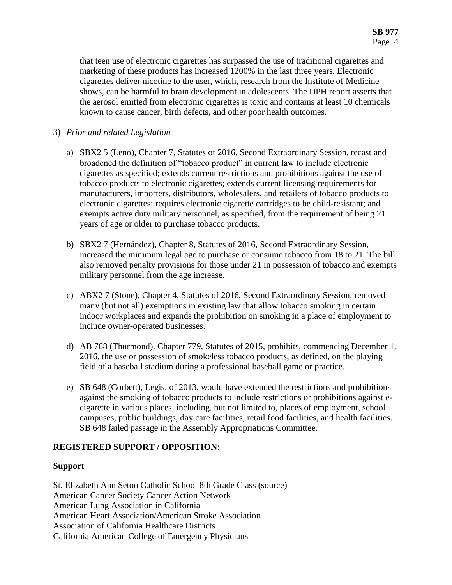that teen use of electronic cigarettes has surpassed the use of traditional cigarettes and marketing of these products has increased 1200% in the last three years. Electronic cigarettes deliver nicotine to the user, which, research from the Institute of Medicine shows, can be harmful to brain development in adolescents. The DPH report asserts that the aerosol emitted from electronic cigarettes is toxic and contains at least 10 chemicals known to cause cancer, birth defects, and other poor health outcomes.

### 3) *Prior and related Legislation*

- a) SBX2 5 (Leno), Chapter 7, Statutes of 2016, Second Extraordinary Session, recast and broadened the definition of "tobacco product" in current law to include electronic cigarettes as specified; extends current restrictions and prohibitions against the use of tobacco products to electronic cigarettes; extends current licensing requirements for manufacturers, importers, distributors, wholesalers, and retailers of tobacco products to electronic cigarettes; requires electronic cigarette cartridges to be child-resistant; and exempts active duty military personnel, as specified, from the requirement of being 21 years of age or older to purchase tobacco products.
- b) SBX2 7 (Hernández), Chapter 8, Statutes of 2016, Second Extraordinary Session, increased the minimum legal age to purchase or consume tobacco from 18 to 21. The bill also removed penalty provisions for those under 21 in possession of tobacco and exempts military personnel from the age increase.
- c) ABX2 7 (Stone), Chapter 4, Statutes of 2016, Second Extraordinary Session, removed many (but not all) exemptions in existing law that allow tobacco smoking in certain indoor workplaces and expands the prohibition on smoking in a place of employment to include owner-operated businesses.
- d) AB 768 (Thurmond), Chapter 779, Statutes of 2015, prohibits, commencing December 1, 2016, the use or possession of smokeless tobacco products, as defined, on the playing field of a baseball stadium during a professional baseball game or practice.
- e) SB 648 (Corbett), Legis. of 2013, would have extended the restrictions and prohibitions against the smoking of tobacco products to include restrictions or prohibitions against ecigarette in various places, including, but not limited to, places of employment, school campuses, public buildings, day care facilities, retail food facilities, and health facilities. SB 648 failed passage in the Assembly Appropriations Committee.

# **REGISTERED SUPPORT / OPPOSITION**:

# **Support**

St. Elizabeth Ann Seton Catholic School 8th Grade Class (source) American Cancer Society Cancer Action Network American Lung Association in California American Heart Association/American Stroke Association Association of California Healthcare Districts California American College of Emergency Physicians